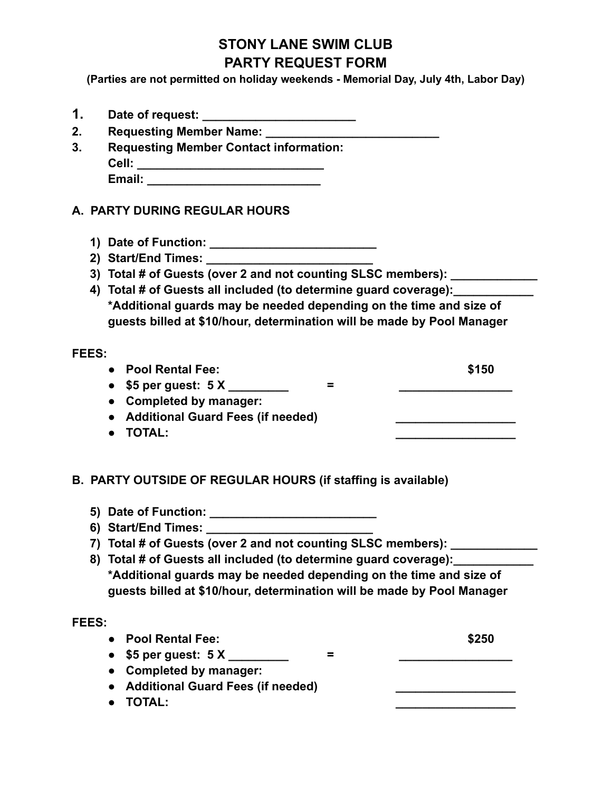## **STONY LANE SWIM CLUB PARTY REQUEST FORM**

**(Parties are not permitted on holiday weekends - Memorial Day, July 4th, Labor Day)**

- **1. Date of request: \_\_\_\_\_\_\_\_\_\_\_\_\_\_\_\_\_\_\_\_\_\_\_**
- **2. Requesting Member Name: \_\_\_\_\_\_\_\_\_\_\_\_\_\_\_\_\_\_\_\_\_\_\_\_\_\_**
- **3. Requesting Member Contact information: Cell: \_\_\_\_\_\_\_\_\_\_\_\_\_\_\_\_\_\_\_\_\_\_\_\_\_\_\_\_ Email: \_\_\_\_\_\_\_\_\_\_\_\_\_\_\_\_\_\_\_\_\_\_\_\_\_\_**
- **A. PARTY DURING REGULAR HOURS**
	- **1) Date of Function: \_\_\_\_\_\_\_\_\_\_\_\_\_\_\_\_\_\_\_\_\_\_\_\_\_**
	- **2) Start/End Times: \_\_\_\_\_\_\_\_\_\_\_\_\_\_\_\_\_\_\_\_\_\_\_\_\_**
	- **3) Total # of Guests (over 2 and not counting SLSC members): \_\_\_\_\_\_\_\_\_\_\_\_\_**
	- **4) Total # of Guests all included (to determine guard coverage):\_\_\_\_\_\_\_\_\_\_\_\_ \*Additional guards may be needed depending on the time and size of guests billed at \$10/hour, determination will be made by Pool Manager**

## **FEES:**

- **● Pool Rental Fee: \$150**
- **● \$5 per guest: 5 X \_\_\_\_\_\_\_\_\_ = \_\_\_\_\_\_\_\_\_\_\_\_\_\_\_\_\_**
- **● Completed by manager:**
- **● Additional Guard Fees (if needed) \_\_\_\_\_\_\_\_\_\_\_\_\_\_\_\_\_\_**
- **● TOTAL: \_\_\_\_\_\_\_\_\_\_\_\_\_\_\_\_\_\_**
- **B. PARTY OUTSIDE OF REGULAR HOURS (if staffing is available)**
	- **5) Date of Function: \_\_\_\_\_\_\_\_\_\_\_\_\_\_\_\_\_\_\_\_\_\_\_\_\_**
	- **6) Start/End Times: \_\_\_\_\_\_\_\_\_\_\_\_\_\_\_\_\_\_\_\_\_\_\_\_\_**
	- **7) Total # of Guests (over 2 and not counting SLSC members): \_\_\_\_\_\_\_\_\_\_\_\_\_**
	- **8) Total # of Guests all included (to determine guard coverage):\_\_\_\_\_\_\_\_\_\_\_\_ \*Additional guards may be needed depending on the time and size of guests billed at \$10/hour, determination will be made by Pool Manager**

## **FEES:**

- **● Pool Rental Fee: \$250 ● \$5 per guest: 5 X \_\_\_\_\_\_\_\_\_ = \_\_\_\_\_\_\_\_\_\_\_\_\_\_\_\_\_ ● Completed by manager: ● Additional Guard Fees (if needed) \_\_\_\_\_\_\_\_\_\_\_\_\_\_\_\_\_\_**
- **● TOTAL: \_\_\_\_\_\_\_\_\_\_\_\_\_\_\_\_\_\_**